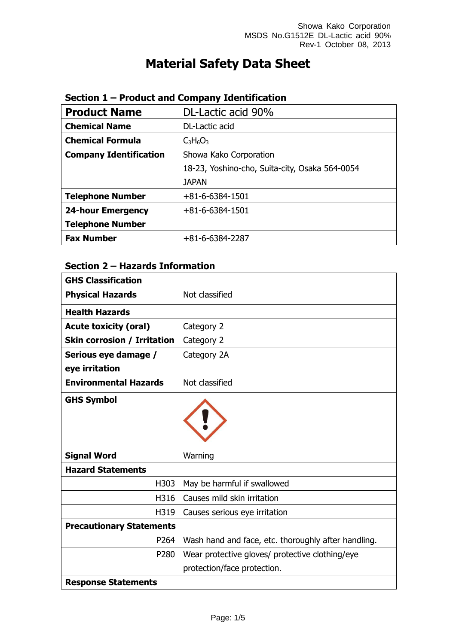# **Material Safety Data Sheet**

| <b>Product Name</b>           | DL-Lactic acid 90%                             |  |
|-------------------------------|------------------------------------------------|--|
| <b>Chemical Name</b>          | DL-Lactic acid                                 |  |
| <b>Chemical Formula</b>       | $C_3H_6O_3$                                    |  |
| <b>Company Identification</b> | Showa Kako Corporation                         |  |
|                               | 18-23, Yoshino-cho, Suita-city, Osaka 564-0054 |  |
|                               | <b>JAPAN</b>                                   |  |
| <b>Telephone Number</b>       | $+81 - 6 - 6384 - 1501$                        |  |
| <b>24-hour Emergency</b>      | $+81 - 6 - 6384 - 1501$                        |  |
| <b>Telephone Number</b>       |                                                |  |
| <b>Fax Number</b>             | $+81-6-6384-2287$                              |  |

#### **Section 1 – Product and Company Identification**

## **Section 2 – Hazards Information**

| <b>GHS Classification</b>          |                                                     |
|------------------------------------|-----------------------------------------------------|
| <b>Physical Hazards</b>            | Not classified                                      |
| <b>Health Hazards</b>              |                                                     |
| <b>Acute toxicity (oral)</b>       | Category 2                                          |
| <b>Skin corrosion / Irritation</b> | Category 2                                          |
| Serious eye damage /               | Category 2A                                         |
| eye irritation                     |                                                     |
| <b>Environmental Hazards</b>       | Not classified                                      |
| <b>GHS Symbol</b>                  |                                                     |
| <b>Signal Word</b>                 | Warning                                             |
| <b>Hazard Statements</b>           |                                                     |
| H303                               | May be harmful if swallowed                         |
| H316                               | Causes mild skin irritation                         |
| H319                               | Causes serious eye irritation                       |
| <b>Precautionary Statements</b>    |                                                     |
| P264                               | Wash hand and face, etc. thoroughly after handling. |
| P280                               | Wear protective gloves/ protective clothing/eye     |
|                                    | protection/face protection.                         |
| <b>Response Statements</b>         |                                                     |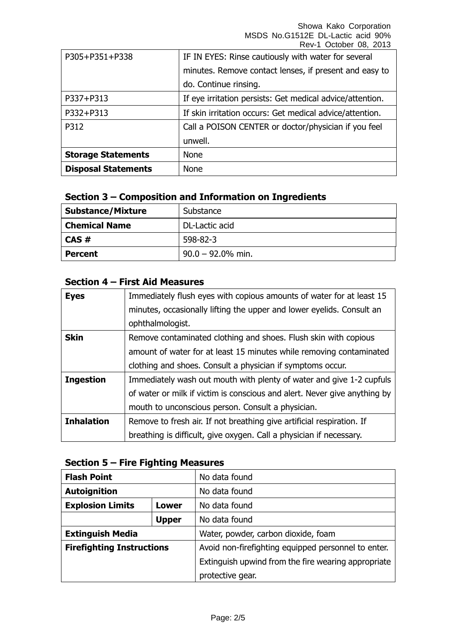Showa Kako Corporation MSDS No.G1512E DL-Lactic acid 90% Rev-1 October 08, 2013

| <b>Storage Statements</b> | unwell.<br>None                                           |  |
|---------------------------|-----------------------------------------------------------|--|
|                           |                                                           |  |
|                           |                                                           |  |
| P312                      | Call a POISON CENTER or doctor/physician if you feel      |  |
| P332+P313                 | If skin irritation occurs: Get medical advice/attention.  |  |
| P337+P313                 | If eye irritation persists: Get medical advice/attention. |  |
|                           | do. Continue rinsing.                                     |  |
|                           | minutes. Remove contact lenses, if present and easy to    |  |
| P305+P351+P338            | IF IN EYES: Rinse cautiously with water for several       |  |

#### **Section 3 – Composition and Information on Ingredients**

| <b>Substance/Mixture</b> | Substance            |
|--------------------------|----------------------|
| <b>Chemical Name</b>     | DL-Lactic acid       |
| CAS#                     | 598-82-3             |
| <b>Percent</b>           | $90.0 - 92.0\%$ min. |

### **Section 4 – First Aid Measures**

| <b>Eyes</b>       | Immediately flush eyes with copious amounts of water for at least 15      |
|-------------------|---------------------------------------------------------------------------|
|                   | minutes, occasionally lifting the upper and lower eyelids. Consult an     |
|                   | ophthalmologist.                                                          |
| <b>Skin</b>       | Remove contaminated clothing and shoes. Flush skin with copious           |
|                   | amount of water for at least 15 minutes while removing contaminated       |
|                   | clothing and shoes. Consult a physician if symptoms occur.                |
| <b>Ingestion</b>  | Immediately wash out mouth with plenty of water and give 1-2 cupfuls      |
|                   | of water or milk if victim is conscious and alert. Never give anything by |
|                   | mouth to unconscious person. Consult a physician.                         |
| <b>Inhalation</b> | Remove to fresh air. If not breathing give artificial respiration. If     |
|                   | breathing is difficult, give oxygen. Call a physician if necessary.       |

#### **Section 5 – Fire Fighting Measures**

| <b>Flash Point</b>               |                                     | No data found                                       |
|----------------------------------|-------------------------------------|-----------------------------------------------------|
| <b>Autoignition</b>              |                                     | No data found                                       |
| <b>Explosion Limits</b><br>Lower |                                     | No data found                                       |
|                                  | <b>Upper</b>                        | No data found                                       |
| <b>Extinguish Media</b>          | Water, powder, carbon dioxide, foam |                                                     |
| <b>Firefighting Instructions</b> |                                     | Avoid non-firefighting equipped personnel to enter. |
|                                  |                                     | Extinguish upwind from the fire wearing appropriate |
|                                  |                                     | protective gear.                                    |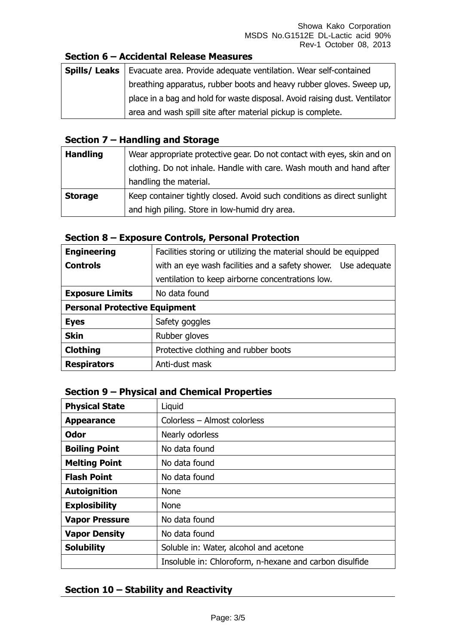#### **Section 6 – Accidental Release Measures**

| Spills/ Leaks | Evacuate area. Provide adequate ventilation. Wear self-contained           |  |
|---------------|----------------------------------------------------------------------------|--|
|               | breathing apparatus, rubber boots and heavy rubber gloves. Sweep up,       |  |
|               | place in a bag and hold for waste disposal. Avoid raising dust. Ventilator |  |
|               | area and wash spill site after material pickup is complete.                |  |

#### **Section 7 – Handling and Storage**

| <b>Handling</b> | Wear appropriate protective gear. Do not contact with eyes, skin and on |
|-----------------|-------------------------------------------------------------------------|
|                 | clothing. Do not inhale. Handle with care. Wash mouth and hand after    |
|                 | handling the material.                                                  |
| <b>Storage</b>  | Keep container tightly closed. Avoid such conditions as direct sunlight |
|                 | and high piling. Store in low-humid dry area.                           |

#### **Section 8 – Exposure Controls, Personal Protection**

| <b>Engineering</b>                   | Facilities storing or utilizing the material should be equipped  |  |
|--------------------------------------|------------------------------------------------------------------|--|
| <b>Controls</b>                      | with an eye wash facilities and a safety shower.<br>Use adequate |  |
|                                      | ventilation to keep airborne concentrations low.                 |  |
| <b>Exposure Limits</b>               | No data found                                                    |  |
| <b>Personal Protective Equipment</b> |                                                                  |  |
| <b>Eyes</b>                          | Safety goggles                                                   |  |
| <b>Skin</b>                          | Rubber gloves                                                    |  |
| <b>Clothing</b>                      | Protective clothing and rubber boots                             |  |
| <b>Respirators</b>                   | Anti-dust mask                                                   |  |

#### **Section 9 – Physical and Chemical Properties**

| <b>Physical State</b> | Liquid                                                  |
|-----------------------|---------------------------------------------------------|
| <b>Appearance</b>     | Colorless - Almost colorless                            |
| <b>Odor</b>           | Nearly odorless                                         |
| <b>Boiling Point</b>  | No data found                                           |
| <b>Melting Point</b>  | No data found                                           |
| <b>Flash Point</b>    | No data found                                           |
| <b>Autoignition</b>   | <b>None</b>                                             |
| <b>Explosibility</b>  | <b>None</b>                                             |
| <b>Vapor Pressure</b> | No data found                                           |
| <b>Vapor Density</b>  | No data found                                           |
| <b>Solubility</b>     | Soluble in: Water, alcohol and acetone                  |
|                       | Insoluble in: Chloroform, n-hexane and carbon disulfide |

#### **Section 10 – Stability and Reactivity**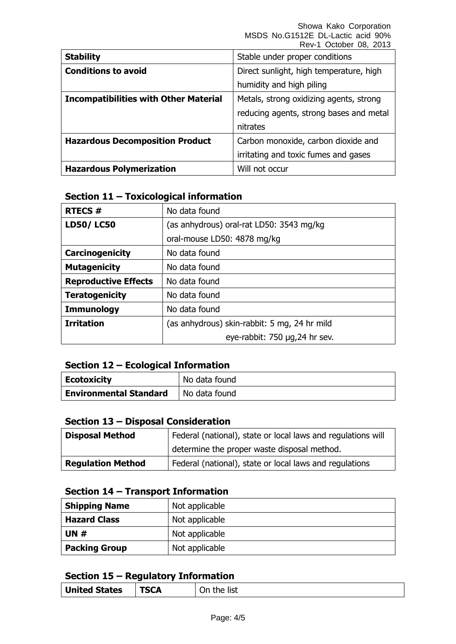|                                              | INGV-I OUIUDGI UU, ZUIJ                 |
|----------------------------------------------|-----------------------------------------|
| <b>Stability</b>                             | Stable under proper conditions          |
| <b>Conditions to avoid</b>                   | Direct sunlight, high temperature, high |
|                                              | humidity and high piling                |
| <b>Incompatibilities with Other Material</b> | Metals, strong oxidizing agents, strong |
|                                              | reducing agents, strong bases and metal |
|                                              | nitrates                                |
| <b>Hazardous Decomposition Product</b>       | Carbon monoxide, carbon dioxide and     |
|                                              | irritating and toxic fumes and gases    |
| <b>Hazardous Polymerization</b>              | Will not occur                          |

#### **Section 11 – Toxicological information**

| <b>RTECS#</b>               | No data found                                |  |
|-----------------------------|----------------------------------------------|--|
| <b>LD50/LC50</b>            | (as anhydrous) oral-rat LD50: 3543 mg/kg     |  |
|                             | oral-mouse LD50: 4878 mg/kg                  |  |
| Carcinogenicity             | No data found                                |  |
| <b>Mutagenicity</b>         | No data found                                |  |
| <b>Reproductive Effects</b> | No data found                                |  |
| <b>Teratogenicity</b>       | No data found                                |  |
| <b>Immunology</b>           | No data found                                |  |
| <b>Irritation</b>           | (as anhydrous) skin-rabbit: 5 mg, 24 hr mild |  |
|                             | eye-rabbit: 750 µg,24 hr sev.                |  |

#### **Section 12 – Ecological Information**

| Ecotoxicity                   | No data found |
|-------------------------------|---------------|
| <b>Environmental Standard</b> | No data found |

#### **Section 13 – Disposal Consideration**

| <b>Disposal Method</b>   | Federal (national), state or local laws and regulations will |  |
|--------------------------|--------------------------------------------------------------|--|
|                          | determine the proper waste disposal method.                  |  |
| <b>Regulation Method</b> | Federal (national), state or local laws and regulations      |  |

#### **Section 14 – Transport Information**

| <b>Shipping Name</b> | Not applicable |  |
|----------------------|----------------|--|
| <b>Hazard Class</b>  | Not applicable |  |
| <b>UN#</b>           | Not applicable |  |
| <b>Packing Group</b> | Not applicable |  |

#### **Section 15 – Regulatory Information**

| <b>United States</b> | <b>TSCA</b> | list<br>−th∆<br>١n<br>- |
|----------------------|-------------|-------------------------|
|                      |             |                         |